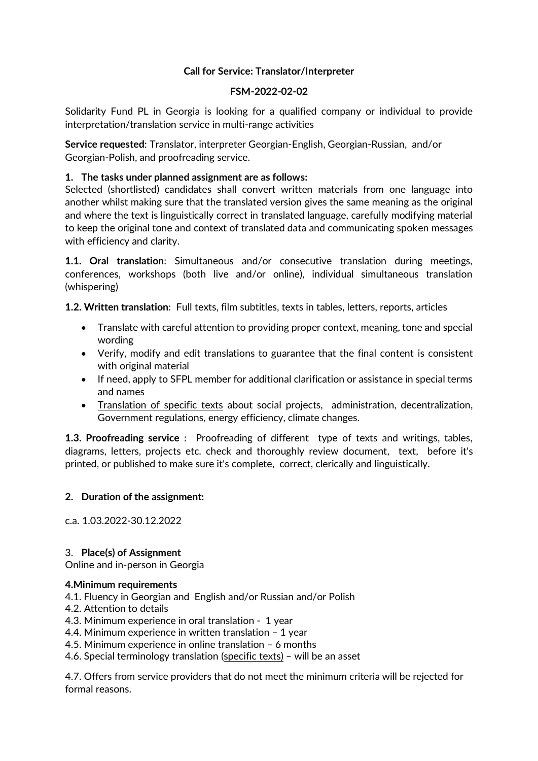# **Call for Service: Translator/Interpreter**

#### **FSM-2022-02-02**

Solidarity Fund PL in Georgia is looking for a qualified company or individual to provide interpretation/translation service in multi-range activities

**Service requested**: Translator, interpreter Georgian-English, Georgian-Russian, and/or Georgian-Polish, and proofreading service.

# **1. The tasks under planned assignment are as follows:**

Selected (shortlisted) candidates shall convert written materials from one language into another whilst making sure that the translated version gives the same meaning as the original and where the text is linguistically correct in translated language, carefully modifying material to keep the original tone and context of translated data and communicating spoken messages with efficiency and clarity.

**1.1. Oral translation**: Simultaneous and/or consecutive translation during meetings, conferences, workshops (both live and/or online), individual simultaneous translation (whispering)

**1.2. Written translation**: Full texts, film subtitles, texts in tables, letters, reports, articles

- Translate with careful attention to providing proper context, meaning, tone and special wording
- Verify, modify and edit translations to guarantee that the final content is consistent with original material
- If need, apply to SFPL member for additional clarification or assistance in special terms and names
- Translation of specific texts about social projects, administration, decentralization, Government regulations, energy efficiency, climate changes.

**1.3. Proofreading service** : Proofreading of different type of texts and writings, tables, diagrams, letters, projects etc. check and thoroughly review document, text, before it's printed, or published to make sure it's complete, correct, clerically and linguistically.

# **2. Duration of the assignment:**

c.a. 1.03.2022-30.12.2022

# 3. **Place(s) of Assignment**

Online and in-person in Georgia

# **4.Minimum requirements**

- 4.1. Fluency in Georgian and English and/or Russian and/or Polish
- 4.2. Attention to details
- 4.3. Minimum experience in oral translation 1 year

4.4. Minimum experience in written translation – 1 year

4.5. Minimum experience in online translation – 6 months

4.6. Special terminology translation (specific texts) - will be an asset

4.7. Offers from service providers that do not meet the minimum criteria will be rejected for formal reasons.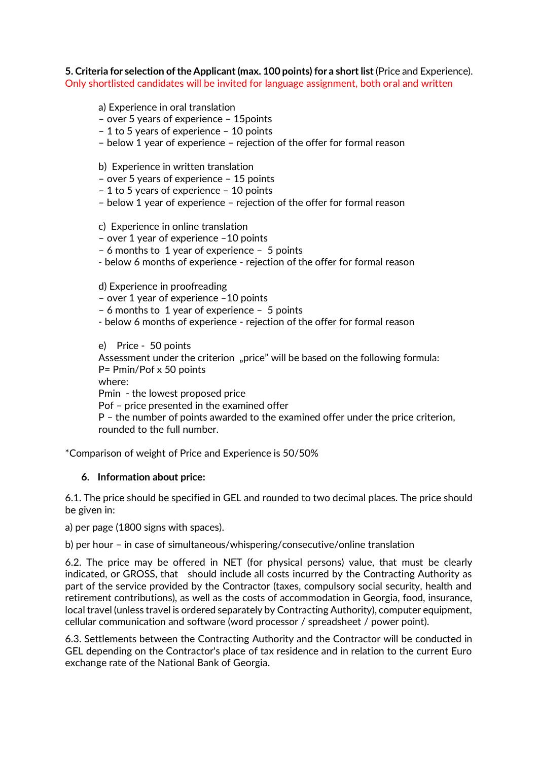**5. Criteria for selection of the Applicant (max. 100 points) for a short list** (Price and Experience). Only shortlisted candidates will be invited for language assignment, both oral and written

#### a) Experience in oral translation

- over 5 years of experience 15points
- 1 to 5 years of experience 10 points
- below 1 year of experience rejection of the offer for formal reason
- b) Experience in written translation
- over 5 years of experience 15 points
- 1 to 5 years of experience 10 points
- below 1 year of experience rejection of the offer for formal reason

#### c) Experience in online translation

- over 1 year of experience –10 points
- 6 months to 1 year of experience 5 points
- below 6 months of experience rejection of the offer for formal reason

d) Experience in proofreading

- over 1 year of experience –10 points
- 6 months to 1 year of experience 5 points
- below 6 months of experience rejection of the offer for formal reason

e) Price - 50 points

Assessment under the criterion "price" will be based on the following formula: P= Pmin/Pof x 50 points

where:

Pmin - the lowest proposed price

Pof – price presented in the examined offer

P – the number of points awarded to the examined offer under the price criterion, rounded to the full number.

\*Comparison of weight of Price and Experience is 50/50%

#### **6. Information about price:**

6.1. The price should be specified in GEL and rounded to two decimal places. The price should be given in:

a) per page (1800 signs with spaces).

b) per hour – in case of simultaneous/whispering/consecutive/online translation

6.2. The price may be offered in NET (for physical persons) value, that must be clearly indicated, or GROSS, that should include all costs incurred by the Contracting Authority as part of the service provided by the Contractor (taxes, compulsory social security, health and retirement contributions), as well as the costs of accommodation in Georgia, food, insurance, local travel (unless travel is ordered separately by Contracting Authority), computer equipment, cellular communication and software (word processor / spreadsheet / power point).

6.3. Settlements between the Contracting Authority and the Contractor will be conducted in GEL depending on the Contractor's place of tax residence and in relation to the current Euro exchange rate of the National Bank of Georgia.